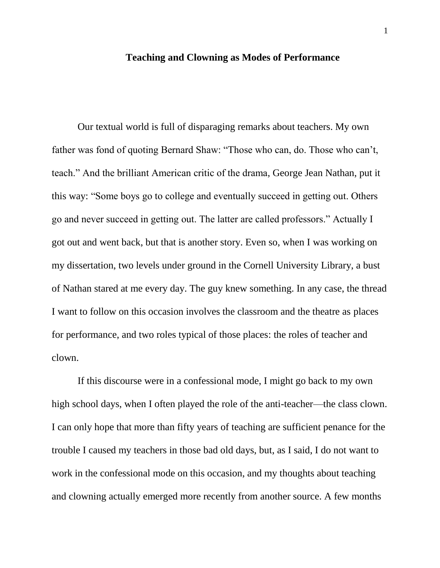## **Teaching and Clowning as Modes of Performance**

Our textual world is full of disparaging remarks about teachers. My own father was fond of quoting Bernard Shaw: "Those who can, do. Those who can't, teach." And the brilliant American critic of the drama, George Jean Nathan, put it this way: "Some boys go to college and eventually succeed in getting out. Others go and never succeed in getting out. The latter are called professors." Actually I got out and went back, but that is another story. Even so, when I was working on my dissertation, two levels under ground in the Cornell University Library, a bust of Nathan stared at me every day. The guy knew something. In any case, the thread I want to follow on this occasion involves the classroom and the theatre as places for performance, and two roles typical of those places: the roles of teacher and clown.

If this discourse were in a confessional mode, I might go back to my own high school days, when I often played the role of the anti-teacher—the class clown. I can only hope that more than fifty years of teaching are sufficient penance for the trouble I caused my teachers in those bad old days, but, as I said, I do not want to work in the confessional mode on this occasion, and my thoughts about teaching and clowning actually emerged more recently from another source. A few months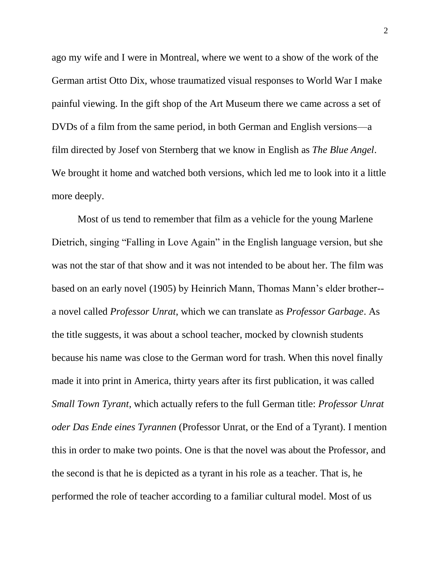ago my wife and I were in Montreal, where we went to a show of the work of the German artist Otto Dix, whose traumatized visual responses to World War I make painful viewing. In the gift shop of the Art Museum there we came across a set of DVDs of a film from the same period, in both German and English versions—a film directed by Josef von Sternberg that we know in English as *The Blue Angel*. We brought it home and watched both versions, which led me to look into it a little more deeply.

Most of us tend to remember that film as a vehicle for the young Marlene Dietrich, singing "Falling in Love Again" in the English language version, but she was not the star of that show and it was not intended to be about her. The film was based on an early novel (1905) by Heinrich Mann, Thomas Mann's elder brother- a novel called *Professor Unrat*, which we can translate as *Professor Garbage*. As the title suggests, it was about a school teacher, mocked by clownish students because his name was close to the German word for trash. When this novel finally made it into print in America, thirty years after its first publication, it was called *Small Town Tyrant*, which actually refers to the full German title: *Professor Unrat oder Das Ende eines Tyrannen* (Professor Unrat, or the End of a Tyrant). I mention this in order to make two points. One is that the novel was about the Professor, and the second is that he is depicted as a tyrant in his role as a teacher. That is, he performed the role of teacher according to a familiar cultural model. Most of us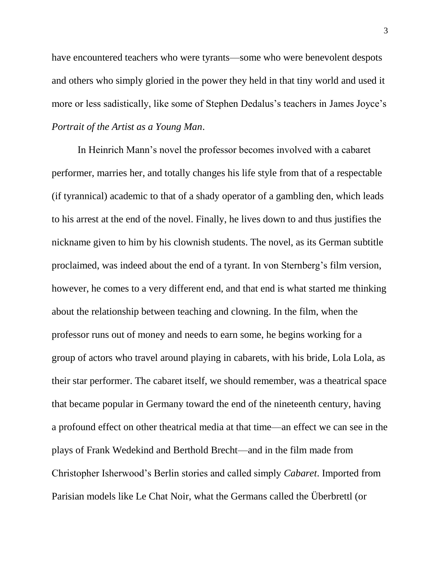have encountered teachers who were tyrants—some who were benevolent despots and others who simply gloried in the power they held in that tiny world and used it more or less sadistically, like some of Stephen Dedalus's teachers in James Joyce's *Portrait of the Artist as a Young Man*.

In Heinrich Mann's novel the professor becomes involved with a cabaret performer, marries her, and totally changes his life style from that of a respectable (if tyrannical) academic to that of a shady operator of a gambling den, which leads to his arrest at the end of the novel. Finally, he lives down to and thus justifies the nickname given to him by his clownish students. The novel, as its German subtitle proclaimed, was indeed about the end of a tyrant. In von Sternberg's film version, however, he comes to a very different end, and that end is what started me thinking about the relationship between teaching and clowning. In the film, when the professor runs out of money and needs to earn some, he begins working for a group of actors who travel around playing in cabarets, with his bride, Lola Lola, as their star performer. The cabaret itself, we should remember, was a theatrical space that became popular in Germany toward the end of the nineteenth century, having a profound effect on other theatrical media at that time—an effect we can see in the plays of Frank Wedekind and Berthold Brecht—and in the film made from Christopher Isherwood's Berlin stories and called simply *Cabaret*. Imported from Parisian models like Le Chat Noir, what the Germans called the [Überbrettl](http://en.wikipedia.org/wiki/%C3%9Cberbrettl) (or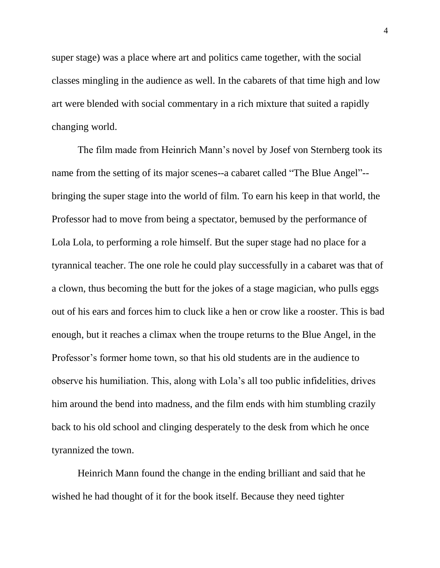super stage) was a place where art and politics came together, with the social classes mingling in the audience as well. In the cabarets of that time high and low art were blended with social commentary in a rich mixture that suited a rapidly changing world.

The film made from Heinrich Mann's novel by Josef von Sternberg took its name from the setting of its major scenes--a cabaret called "The Blue Angel"- bringing the super stage into the world of film. To earn his keep in that world, the Professor had to move from being a spectator, bemused by the performance of Lola Lola, to performing a role himself. But the super stage had no place for a tyrannical teacher. The one role he could play successfully in a cabaret was that of a clown, thus becoming the butt for the jokes of a stage magician, who pulls eggs out of his ears and forces him to cluck like a hen or crow like a rooster. This is bad enough, but it reaches a climax when the troupe returns to the Blue Angel, in the Professor's former home town, so that his old students are in the audience to observe his humiliation. This, along with Lola's all too public infidelities, drives him around the bend into madness, and the film ends with him stumbling crazily back to his old school and clinging desperately to the desk from which he once tyrannized the town.

Heinrich Mann found the change in the ending brilliant and said that he wished he had thought of it for the book itself. Because they need tighter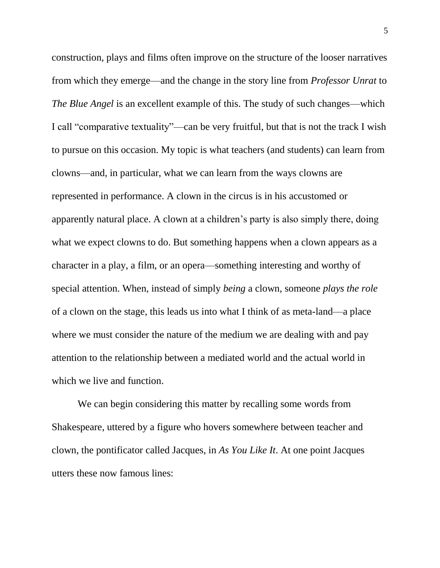construction, plays and films often improve on the structure of the looser narratives from which they emerge—and the change in the story line from *Professor Unrat* to *The Blue Angel* is an excellent example of this. The study of such changes—which I call "comparative textuality"—can be very fruitful, but that is not the track I wish to pursue on this occasion. My topic is what teachers (and students) can learn from clowns—and, in particular, what we can learn from the ways clowns are represented in performance. A clown in the circus is in his accustomed or apparently natural place. A clown at a children's party is also simply there, doing what we expect clowns to do. But something happens when a clown appears as a character in a play, a film, or an opera—something interesting and worthy of special attention. When, instead of simply *being* a clown, someone *plays the role* of a clown on the stage, this leads us into what I think of as meta-land—a place where we must consider the nature of the medium we are dealing with and pay attention to the relationship between a mediated world and the actual world in which we live and function.

We can begin considering this matter by recalling some words from Shakespeare, uttered by a figure who hovers somewhere between teacher and clown, the pontificator called Jacques, in *As You Like It*. At one point Jacques utters these now famous lines: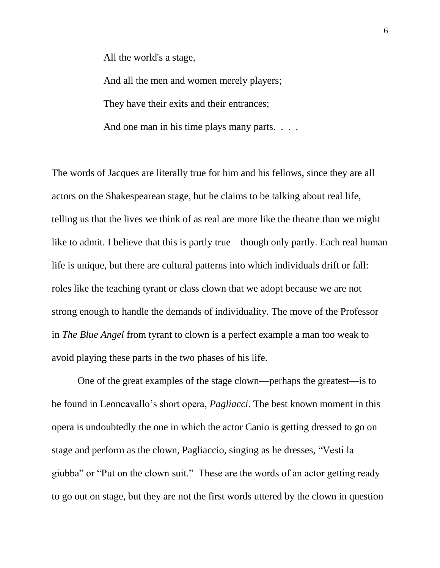All the world's a stage,

And all the men and women merely players; They have their exits and their entrances; And one man in his time plays many parts. . . .

The words of Jacques are literally true for him and his fellows, since they are all actors on the Shakespearean stage, but he claims to be talking about real life, telling us that the lives we think of as real are more like the theatre than we might like to admit. I believe that this is partly true—though only partly. Each real human life is unique, but there are cultural patterns into which individuals drift or fall: roles like the teaching tyrant or class clown that we adopt because we are not strong enough to handle the demands of individuality. The move of the Professor in *The Blue Angel* from tyrant to clown is a perfect example a man too weak to avoid playing these parts in the two phases of his life.

One of the great examples of the stage clown—perhaps the greatest—is to be found in Leoncavallo's short opera, *Pagliacci*. The best known moment in this opera is undoubtedly the one in which the actor Canio is getting dressed to go on stage and perform as the clown, Pagliaccio, singing as he dresses, "Vesti la giubba" or "Put on the clown suit." These are the words of an actor getting ready to go out on stage, but they are not the first words uttered by the clown in question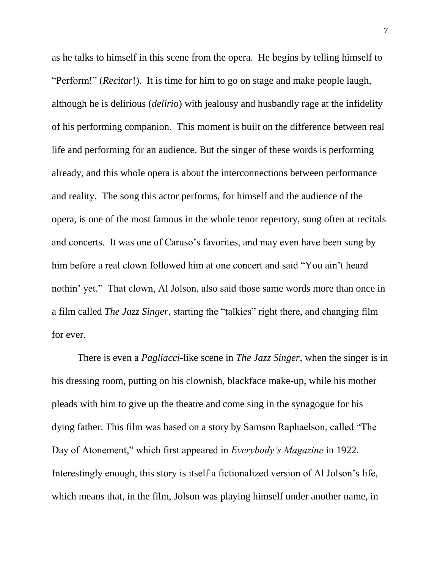as he talks to himself in this scene from the opera. He begins by telling himself to "Perform!" (*Recitar*!). It is time for him to go on stage and make people laugh, although he is delirious (*delirio*) with jealousy and husbandly rage at the infidelity of his performing companion. This moment is built on the difference between real life and performing for an audience. But the singer of these words is performing already, and this whole opera is about the interconnections between performance and reality. The song this actor performs, for himself and the audience of the opera, is one of the most famous in the whole tenor repertory, sung often at recitals and concerts. It was one of Caruso's favorites, and may even have been sung by him before a real clown followed him at one concert and said "You ain't heard nothin' yet." That clown, Al Jolson, also said those same words more than once in a film called *The Jazz Singer*, starting the "talkies" right there, and changing film for ever.

There is even a *Pagliacci*-like scene in *The Jazz Singer*, when the singer is in his dressing room, putting on his clownish, blackface make-up, while his mother pleads with him to give up the theatre and come sing in the synagogue for his dying father. This film was based on a story by Samson Raphaelson, called "The Day of Atonement," which first appeared in *Everybody's Magazine* in 1922. Interestingly enough, this story is itself a fictionalized version of Al Jolson's life, which means that, in the film, Jolson was playing himself under another name, in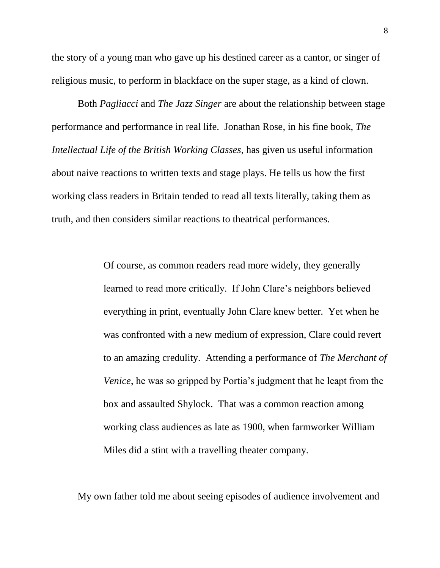the story of a young man who gave up his destined career as a cantor, or singer of religious music, to perform in blackface on the super stage, as a kind of clown.

Both *Pagliacci* and *The Jazz Singer* are about the relationship between stage performance and performance in real life. Jonathan Rose, in his fine book, *The Intellectual Life of the British Working Classes*, has given us useful information about naive reactions to written texts and stage plays. He tells us how the first working class readers in Britain tended to read all texts literally, taking them as truth, and then considers similar reactions to theatrical performances.

> Of course, as common readers read more widely, they generally learned to read more critically. If John Clare's neighbors believed everything in print, eventually John Clare knew better. Yet when he was confronted with a new medium of expression, Clare could revert to an amazing credulity. Attending a performance of *The Merchant of Venice*, he was so gripped by Portia's judgment that he leapt from the box and assaulted Shylock. That was a common reaction among working class audiences as late as 1900, when farmworker William Miles did a stint with a travelling theater company.

My own father told me about seeing episodes of audience involvement and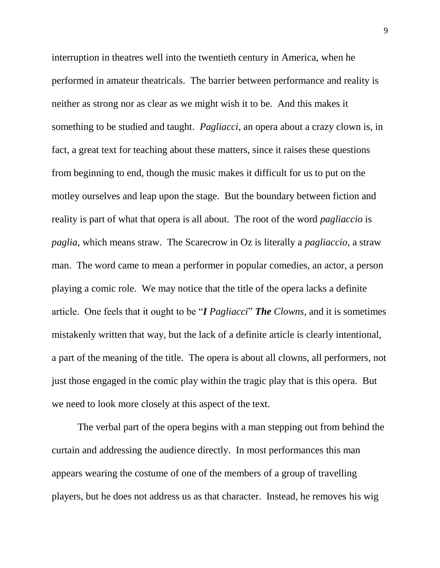interruption in theatres well into the twentieth century in America, when he performed in amateur theatricals. The barrier between performance and reality is neither as strong nor as clear as we might wish it to be. And this makes it something to be studied and taught. *Pagliacci*, an opera about a crazy clown is, in fact, a great text for teaching about these matters, since it raises these questions from beginning to end, though the music makes it difficult for us to put on the motley ourselves and leap upon the stage. But the boundary between fiction and reality is part of what that opera is all about. The root of the word *pagliaccio* is *paglia*, which means straw. The Scarecrow in Oz is literally a *pagliaccio*, a straw man. The word came to mean a performer in popular comedies, an actor, a person playing a comic role. We may notice that the title of the opera lacks a definite article. One feels that it ought to be "*I Pagliacci*" *The Clowns*, and it is sometimes mistakenly written that way, but the lack of a definite article is clearly intentional, a part of the meaning of the title. The opera is about all clowns, all performers, not just those engaged in the comic play within the tragic play that is this opera. But we need to look more closely at this aspect of the text.

The verbal part of the opera begins with a man stepping out from behind the curtain and addressing the audience directly. In most performances this man appears wearing the costume of one of the members of a group of travelling players, but he does not address us as that character. Instead, he removes his wig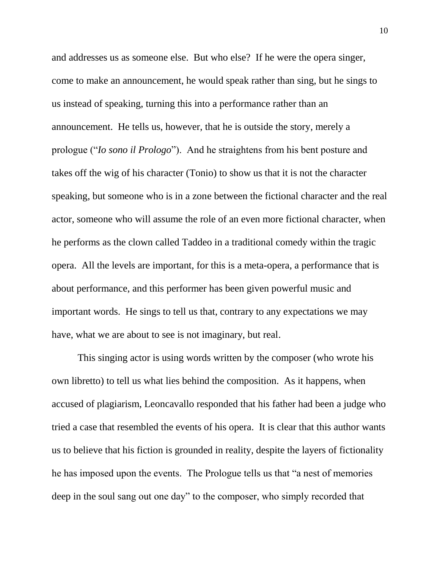and addresses us as someone else. But who else? If he were the opera singer, come to make an announcement, he would speak rather than sing, but he sings to us instead of speaking, turning this into a performance rather than an announcement. He tells us, however, that he is outside the story, merely a prologue ("*Io sono il Prologo*"). And he straightens from his bent posture and takes off the wig of his character (Tonio) to show us that it is not the character speaking, but someone who is in a zone between the fictional character and the real actor, someone who will assume the role of an even more fictional character, when he performs as the clown called Taddeo in a traditional comedy within the tragic opera. All the levels are important, for this is a meta-opera, a performance that is about performance, and this performer has been given powerful music and important words. He sings to tell us that, contrary to any expectations we may have, what we are about to see is not imaginary, but real.

This singing actor is using words written by the composer (who wrote his own libretto) to tell us what lies behind the composition. As it happens, when accused of plagiarism, Leoncavallo responded that his father had been a judge who tried a case that resembled the events of his opera. It is clear that this author wants us to believe that his fiction is grounded in reality, despite the layers of fictionality he has imposed upon the events. The Prologue tells us that "a nest of memories deep in the soul sang out one day" to the composer, who simply recorded that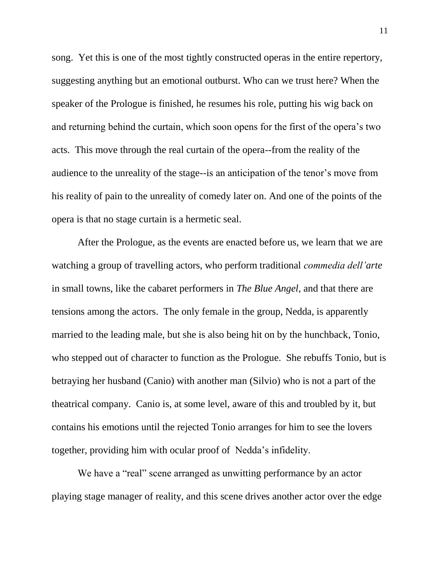song. Yet this is one of the most tightly constructed operas in the entire repertory, suggesting anything but an emotional outburst. Who can we trust here? When the speaker of the Prologue is finished, he resumes his role, putting his wig back on and returning behind the curtain, which soon opens for the first of the opera's two acts. This move through the real curtain of the opera--from the reality of the audience to the unreality of the stage--is an anticipation of the tenor's move from his reality of pain to the unreality of comedy later on. And one of the points of the opera is that no stage curtain is a hermetic seal.

After the Prologue, as the events are enacted before us, we learn that we are watching a group of travelling actors, who perform traditional *commedia dell'arte* in small towns, like the cabaret performers in *The Blue Angel*, and that there are tensions among the actors. The only female in the group, Nedda, is apparently married to the leading male, but she is also being hit on by the hunchback, Tonio, who stepped out of character to function as the Prologue. She rebuffs Tonio, but is betraying her husband (Canio) with another man (Silvio) who is not a part of the theatrical company. Canio is, at some level, aware of this and troubled by it, but contains his emotions until the rejected Tonio arranges for him to see the lovers together, providing him with ocular proof of Nedda's infidelity.

We have a "real" scene arranged as unwitting performance by an actor playing stage manager of reality, and this scene drives another actor over the edge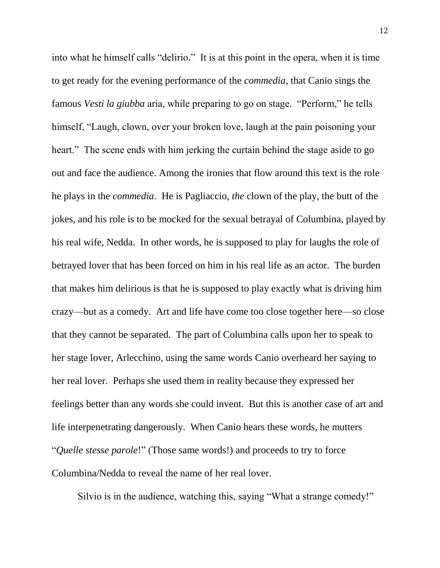into what he himself calls "delirio." It is at this point in the opera, when it is time to get ready for the evening performance of the *commedia*, that Canio sings the famous *Vesti la giubba* aria, while preparing to go on stage. "Perform," he tells himself, "Laugh, clown, over your broken love, laugh at the pain poisoning your heart." The scene ends with him jerking the curtain behind the stage aside to go out and face the audience. Among the ironies that flow around this text is the role he plays in the *commedia*. He is Pagliaccio, *the* clown of the play, the butt of the jokes, and his role is to be mocked for the sexual betrayal of Columbina, played by his real wife, Nedda. In other words, he is supposed to play for laughs the role of betrayed lover that has been forced on him in his real life as an actor. The burden that makes him delirious is that he is supposed to play exactly what is driving him crazy—but as a comedy. Art and life have come too close together here—so close that they cannot be separated. The part of Columbina calls upon her to speak to her stage lover, Arlecchino, using the same words Canio overheard her saying to her real lover. Perhaps she used them in reality because they expressed her feelings better than any words she could invent. But this is another case of art and life interpenetrating dangerously. When Canio hears these words, he mutters "*Quelle stesse parole*!" (Those same words!) and proceeds to try to force Columbina/Nedda to reveal the name of her real lover.

Silvio is in the audience, watching this, saying "What a strange comedy!"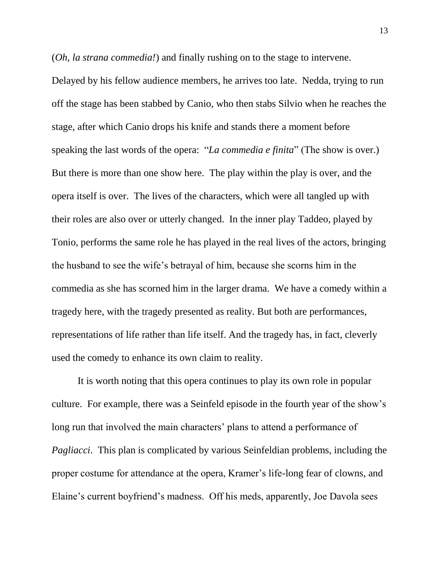(*Oh, la strana commedia!*) and finally rushing on to the stage to intervene.

Delayed by his fellow audience members, he arrives too late. Nedda, trying to run off the stage has been stabbed by Canio, who then stabs Silvio when he reaches the stage, after which Canio drops his knife and stands there a moment before speaking the last words of the opera: "*La commedia e finita*" (The show is over.) But there is more than one show here. The play within the play is over, and the opera itself is over. The lives of the characters, which were all tangled up with their roles are also over or utterly changed. In the inner play Taddeo, played by Tonio, performs the same role he has played in the real lives of the actors, bringing the husband to see the wife's betrayal of him, because she scorns him in the commedia as she has scorned him in the larger drama. We have a comedy within a tragedy here, with the tragedy presented as reality. But both are performances, representations of life rather than life itself. And the tragedy has, in fact, cleverly used the comedy to enhance its own claim to reality.

It is worth noting that this opera continues to play its own role in popular culture. For example, there was a Seinfeld episode in the fourth year of the show's long run that involved the main characters' plans to attend a performance of *Pagliacci*. This plan is complicated by various Seinfeldian problems, including the proper costume for attendance at the opera, Kramer's life-long fear of clowns, and Elaine's current boyfriend's madness. Off his meds, apparently, Joe Davola sees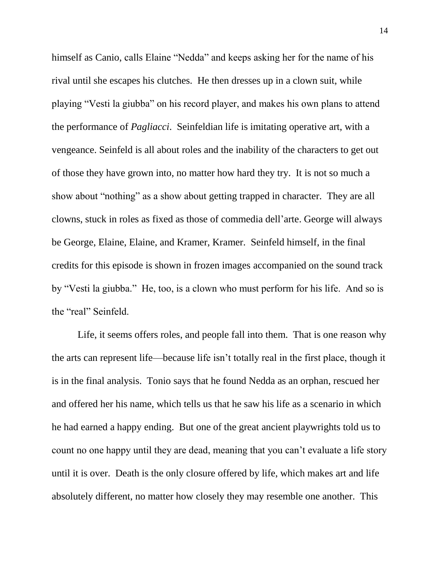himself as Canio, calls Elaine "Nedda" and keeps asking her for the name of his rival until she escapes his clutches. He then dresses up in a clown suit, while playing "Vesti la giubba" on his record player, and makes his own plans to attend the performance of *Pagliacci*. Seinfeldian life is imitating operative art, with a vengeance. Seinfeld is all about roles and the inability of the characters to get out of those they have grown into, no matter how hard they try. It is not so much a show about "nothing" as a show about getting trapped in character. They are all clowns, stuck in roles as fixed as those of commedia dell'arte. George will always be George, Elaine, Elaine, and Kramer, Kramer. Seinfeld himself, in the final credits for this episode is shown in frozen images accompanied on the sound track by "Vesti la giubba." He, too, is a clown who must perform for his life. And so is the "real" Seinfeld.

Life, it seems offers roles, and people fall into them. That is one reason why the arts can represent life—because life isn't totally real in the first place, though it is in the final analysis. Tonio says that he found Nedda as an orphan, rescued her and offered her his name, which tells us that he saw his life as a scenario in which he had earned a happy ending. But one of the great ancient playwrights told us to count no one happy until they are dead, meaning that you can't evaluate a life story until it is over. Death is the only closure offered by life, which makes art and life absolutely different, no matter how closely they may resemble one another. This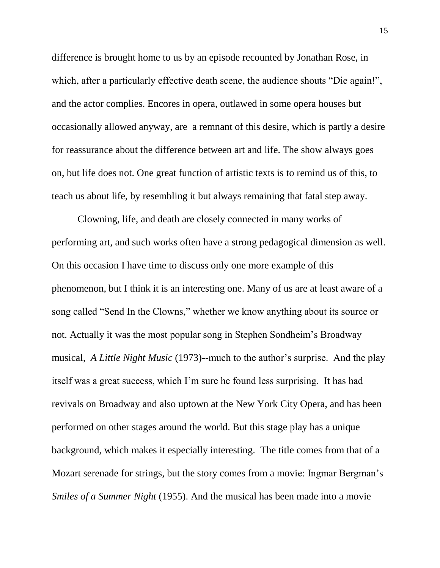difference is brought home to us by an episode recounted by Jonathan Rose, in which, after a particularly effective death scene, the audience shouts "Die again!", and the actor complies. Encores in opera, outlawed in some opera houses but occasionally allowed anyway, are a remnant of this desire, which is partly a desire for reassurance about the difference between art and life. The show always goes on, but life does not. One great function of artistic texts is to remind us of this, to teach us about life, by resembling it but always remaining that fatal step away.

Clowning, life, and death are closely connected in many works of performing art, and such works often have a strong pedagogical dimension as well. On this occasion I have time to discuss only one more example of this phenomenon, but I think it is an interesting one. Many of us are at least aware of a song called "Send In the Clowns," whether we know anything about its source or not. Actually it was the most popular song in Stephen Sondheim's Broadway musical, *A Little Night Music* (1973)--much to the author's surprise. And the play itself was a great success, which I'm sure he found less surprising. It has had revivals on Broadway and also uptown at the New York City Opera, and has been performed on other stages around the world. But this stage play has a unique background, which makes it especially interesting. The title comes from that of a Mozart serenade for strings, but the story comes from a movie: Ingmar Bergman's *Smiles of a Summer Night* (1955). And the musical has been made into a movie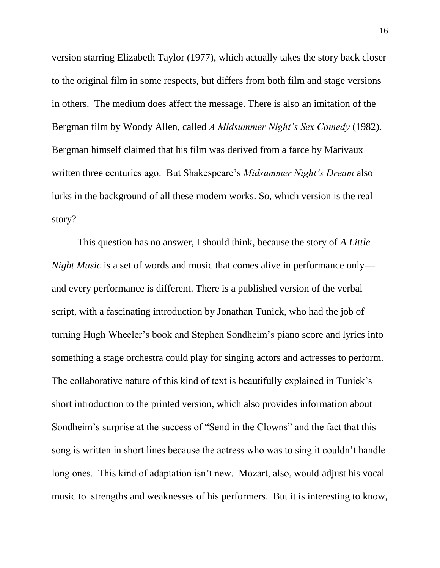version starring Elizabeth Taylor (1977), which actually takes the story back closer to the original film in some respects, but differs from both film and stage versions in others. The medium does affect the message. There is also an imitation of the Bergman film by Woody Allen, called *A Midsummer Night's Sex Comedy* (1982). Bergman himself claimed that his film was derived from a farce by Marivaux written three centuries ago. But Shakespeare's *Midsummer Night's Dream* also lurks in the background of all these modern works. So, which version is the real story?

This question has no answer, I should think, because the story of *A Little Night Music* is a set of words and music that comes alive in performance only and every performance is different. There is a published version of the verbal script, with a fascinating introduction by Jonathan Tunick, who had the job of turning Hugh Wheeler's book and Stephen Sondheim's piano score and lyrics into something a stage orchestra could play for singing actors and actresses to perform. The collaborative nature of this kind of text is beautifully explained in Tunick's short introduction to the printed version, which also provides information about Sondheim's surprise at the success of "Send in the Clowns" and the fact that this song is written in short lines because the actress who was to sing it couldn't handle long ones. This kind of adaptation isn't new. Mozart, also, would adjust his vocal music to strengths and weaknesses of his performers. But it is interesting to know,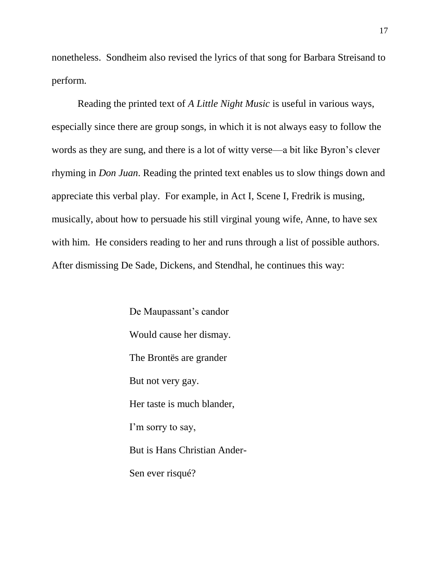nonetheless. Sondheim also revised the lyrics of that song for Barbara Streisand to perform.

Reading the printed text of *A Little Night Music* is useful in various ways, especially since there are group songs, in which it is not always easy to follow the words as they are sung, and there is a lot of witty verse—a bit like Byron's clever rhyming in *Don Juan*. Reading the printed text enables us to slow things down and appreciate this verbal play. For example, in Act I, Scene I, Fredrik is musing, musically, about how to persuade his still virginal young wife, Anne, to have sex with him. He considers reading to her and runs through a list of possible authors. After dismissing De Sade, Dickens, and Stendhal, he continues this way:

> De Maupassant's candor Would cause her dismay. The Brontës are grander But not very gay. Her taste is much blander, I'm sorry to say, But is Hans Christian Ander-Sen ever risqué?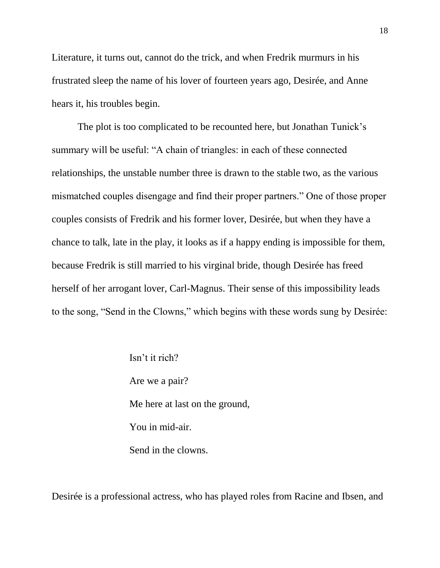Literature, it turns out, cannot do the trick, and when Fredrik murmurs in his frustrated sleep the name of his lover of fourteen years ago, Desirée, and Anne hears it, his troubles begin.

The plot is too complicated to be recounted here, but Jonathan Tunick's summary will be useful: "A chain of triangles: in each of these connected relationships, the unstable number three is drawn to the stable two, as the various mismatched couples disengage and find their proper partners." One of those proper couples consists of Fredrik and his former lover, Desirée, but when they have a chance to talk, late in the play, it looks as if a happy ending is impossible for them, because Fredrik is still married to his virginal bride, though Desirée has freed herself of her arrogant lover, Carl-Magnus. Their sense of this impossibility leads to the song, "Send in the Clowns," which begins with these words sung by Desirée:

> Isn't it rich? Are we a pair? Me here at last on the ground, You in mid-air. Send in the clowns.

Desirée is a professional actress, who has played roles from Racine and Ibsen, and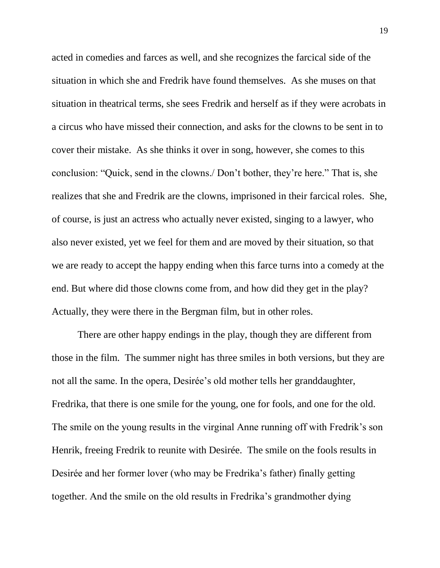acted in comedies and farces as well, and she recognizes the farcical side of the situation in which she and Fredrik have found themselves. As she muses on that situation in theatrical terms, she sees Fredrik and herself as if they were acrobats in a circus who have missed their connection, and asks for the clowns to be sent in to cover their mistake. As she thinks it over in song, however, she comes to this conclusion: "Quick, send in the clowns./ Don't bother, they're here." That is, she realizes that she and Fredrik are the clowns, imprisoned in their farcical roles. She, of course, is just an actress who actually never existed, singing to a lawyer, who also never existed, yet we feel for them and are moved by their situation, so that we are ready to accept the happy ending when this farce turns into a comedy at the end. But where did those clowns come from, and how did they get in the play? Actually, they were there in the Bergman film, but in other roles.

There are other happy endings in the play, though they are different from those in the film. The summer night has three smiles in both versions, but they are not all the same. In the opera, Desirée's old mother tells her granddaughter, Fredrika, that there is one smile for the young, one for fools, and one for the old. The smile on the young results in the virginal Anne running off with Fredrik's son Henrik, freeing Fredrik to reunite with Desirée. The smile on the fools results in Desirée and her former lover (who may be Fredrika's father) finally getting together. And the smile on the old results in Fredrika's grandmother dying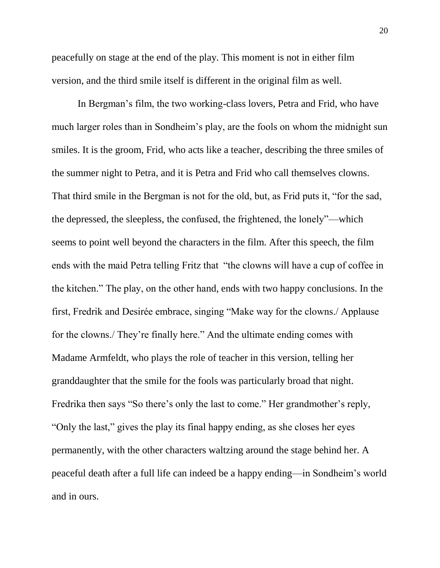peacefully on stage at the end of the play. This moment is not in either film version, and the third smile itself is different in the original film as well.

In Bergman's film, the two working-class lovers, Petra and Frid, who have much larger roles than in Sondheim's play, are the fools on whom the midnight sun smiles. It is the groom, Frid, who acts like a teacher, describing the three smiles of the summer night to Petra, and it is Petra and Frid who call themselves clowns. That third smile in the Bergman is not for the old, but, as Frid puts it, "for the sad, the depressed, the sleepless, the confused, the frightened, the lonely"—which seems to point well beyond the characters in the film. After this speech, the film ends with the maid Petra telling Fritz that "the clowns will have a cup of coffee in the kitchen." The play, on the other hand, ends with two happy conclusions. In the first, Fredrik and Desirée embrace, singing "Make way for the clowns./ Applause for the clowns./ They're finally here." And the ultimate ending comes with Madame Armfeldt, who plays the role of teacher in this version, telling her granddaughter that the smile for the fools was particularly broad that night. Fredrika then says "So there's only the last to come." Her grandmother's reply, "Only the last," gives the play its final happy ending, as she closes her eyes permanently, with the other characters waltzing around the stage behind her. A peaceful death after a full life can indeed be a happy ending—in Sondheim's world and in ours.